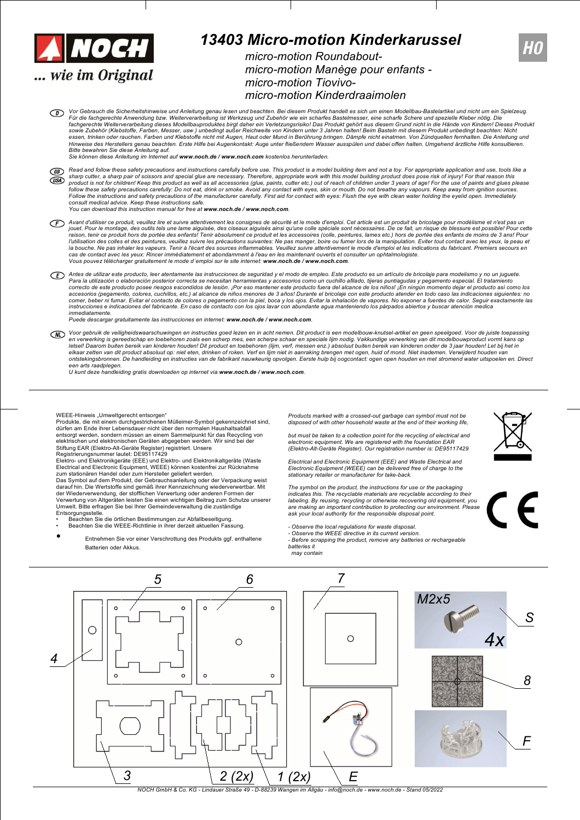

## *13403 Micro-motion Kinderkarussel*

*micro-motion Roundaboutmicro-motion Manège pour enfants micro-motion Tiovivomicro-motion Kinderdraaimolen*

Vor Gebrauch die Sicherheitshinweise und Anleitung genau lesen und beachten. Bei diesem Produkt handelt es sich um einen Modellbau-Bastelartikel und nicht um ein Spielzeug.<br>Für die fachgerechte Anwendung bzw. Weiterverarbe fachgerechte Weiterverarbeitung dieses Modellbauproduktes birgt daher ein Verletzungsrisiko! Das Produkt gehört aus diesen Grund nicht in die Hände von Kindern! Dieses Produkt<br>sowie Zubehör (Klebstoffe, Farben, Messer, usw Hinweise des Herstellers genau beachten. Erste Hilfe bei Augenkontakt: Auge unter fließendem Wasser ausspülen und dabei offen halten. Umgehend ärztliche Hilfe konsultieren.<br>Bitte bewahren Sie diese Anleitung auf.

*Sie können diese Anleitung im Internet auf www.noch.de / www.noch.com kostenlos herunterladen.*

- $\overline{GB}$ Read and follow these safety precautions and instructions carefully before use. This product is a model building item and not a toy. For appropriate application and use, tools like a sharp cutter, a sharp pair of scissors and special glue are necessary. Therefore, appropriate work with this model building product does pose risk of injury! For that reason this<br>product is not for children! Keep this prod  $(1)$ Follow the instructions and safety precautions of the manufacturer carefully. First aid for contact with eyes: Flush the eye with clean water holding the eyelid open. Immediately *consult medical advice. Keep these instructions safe. You can download this instruction manual for free at www.noch.de / www.noch.com.*
- Avant d'utiliser ce produit, veuillez lire et suivre attentivement les consignes de sécurité et le mode d'emploi. Cet article est un produit de bricolage pour modélisme et n'est pas un jouet. Pour le montage, des outils tels une lame aiguisée, des ciseaux aiguisés ainsi qu'une colle spéciale sont nécessaires. De ce fait, un risque de blessure est possible! Pour cette<br>raison, tenir ce produit hors de port l'utilisation des colles et des peintures, veuillez suivre les précautions suivantes: Ne pas manger, boire ou fumer lors de la manipulation. Eviter tout contact avec les yeux, la peau et<br>la bouche. Ne pas inhaler les vapeu Vous pouvez télécharger gratuitement le mode d'emploi sur le site internet: www.noch.de / www.noch.com.
- Antes de utilizar este producto, leer atentamente las instrucciones de seguridad y el modo de empleo. Este producto es un artículo de bricolaje para modelismo y no un juquete. Para la utilización o elaboración posterior correcta se necesitan herramientas y accesorios como un cuchillo afilado, tijeras puntiagudas y pegamento especial. El tratamiento<br>correcto de este producto posee riesgos escondi accesorios (pegamento, colores, cuchillos, etc.) al alcance de niños menores de 3 años! Durante el bricolaje con este producto atender en todo caso las indicaciones siguientes: no<br>comer, beber ni fumar. Evitar el contacto *inmediatamente.*

*Puede descargar gratuitamente las instrucciones en internet: www.noch.de / www.noch.com.*

 $\mathbb{Z}$ Voor gebruik de veiligheidswaarschuwingen en instructies goed lezen en in acht nemen. Dit product is een modelbouw-knutsel-artikel en geen speelgoed. Voor de juiste toepassing<br>en verwerking is gereedschap en toebehoren zoa elkaar zetten van dit product absoluut op: niet eten, drinken of roken. Verf en lijm niet in aanraking brengen met ogen, huid of mond. Niet inademen. Verwijderd houden van<br>ontstekingsbronnen. De handleiding en instructies

*een arts raadplegen. U kunt deze handleiding gratis downloaden op internet via www.noch.de / www.noch.com.*

WEEE-Hinweis "Umweltgerecht entsorgen"<br>Produkte, die mit einem durchgestrichenen Mülleimer-Symbol gekennzeichnet sind, dürfen am Ende ihrer Lebensdauer nicht über den normalen Haushaltsabfall entsorgt werden, sondern müssen an einem Sammelpunkt für das Recycling von elektrischen und elektronischen Geräten abgegeben werden. Wir sind bei der<br>Stiftung EAR (Elektro-Alt-Geräte Register) registriert. Unsere<br>Registrierungsnummer lautet: DE95117429

Elektro- und Elektronikgeräte (EEE) und Elektro- und Elektronikaltgeräte (Waste Electrical and Electronic Equipment, WEEE) können kostenfrei zur Rücknahme zum stationären Handel oder zum Hersteller geliefert werden.<br>Das Symbol auf dem Produkt, der Gebrauchsanleitung oder der Verpackung weist<br>darauf hin. Die Wertstoffe sind gemäß ihrer Kennzeichnung wiederverwertbar. Mit

der Wiederverwendung, der stofflichen Verwertung oder anderen Formen der<br>Verwertung von Altgeräten leisten Sie einen wichtigen Beitrag zum Schutze unserer<br>Umwelt. Bitte erfragen Sie bei Ihrer Gemeindeverwaltung die zuständ Entsorgungsstelle. • Beachten Sie die örtlichen Bestimmungen zur Abfallbeseitigung.

- Beachten Sie die WEEE-Richtlinie in ihrer derzeit aktuellen Fassung.
- *•* Entnehmen Sie vor einer Verschrottung des Produkts ggf. enthaltene Batterien oder Akkus.

*Products marked with a crossed-out garbage can symbol must not be disposed of with other household waste at the end of their working life, but must be taken to a collection point for the recycling of electrical and*

electronic equipment. We are registered with the foundation EAR<br>(Elektro-Alt-Geräte Register). Our registration number is: DE95117429

Electrical and Electronic Equipment (EEE) and Waste Electrical and<br>Electronic Equipment (WEEE) can be delivered free of charge to the *stationary retailer or manufacturer for take-back.*

*The symbol on the product, the instructions for use or the packaging indicates this. The recyclable materials are recyclable according to their* labeling. By reusing, recycling or otherwise recovering old equipment, you<br>are making an important contribution to protecting our environment. Please<br>ask your local authority for the responsible disposal point.

*- Observe the local regulations for waste disposal. - Observe the WEEE directive in its current version.*

*- Before scrapping the product, remove any batteries or rechargeable batteries it*

*may contain*